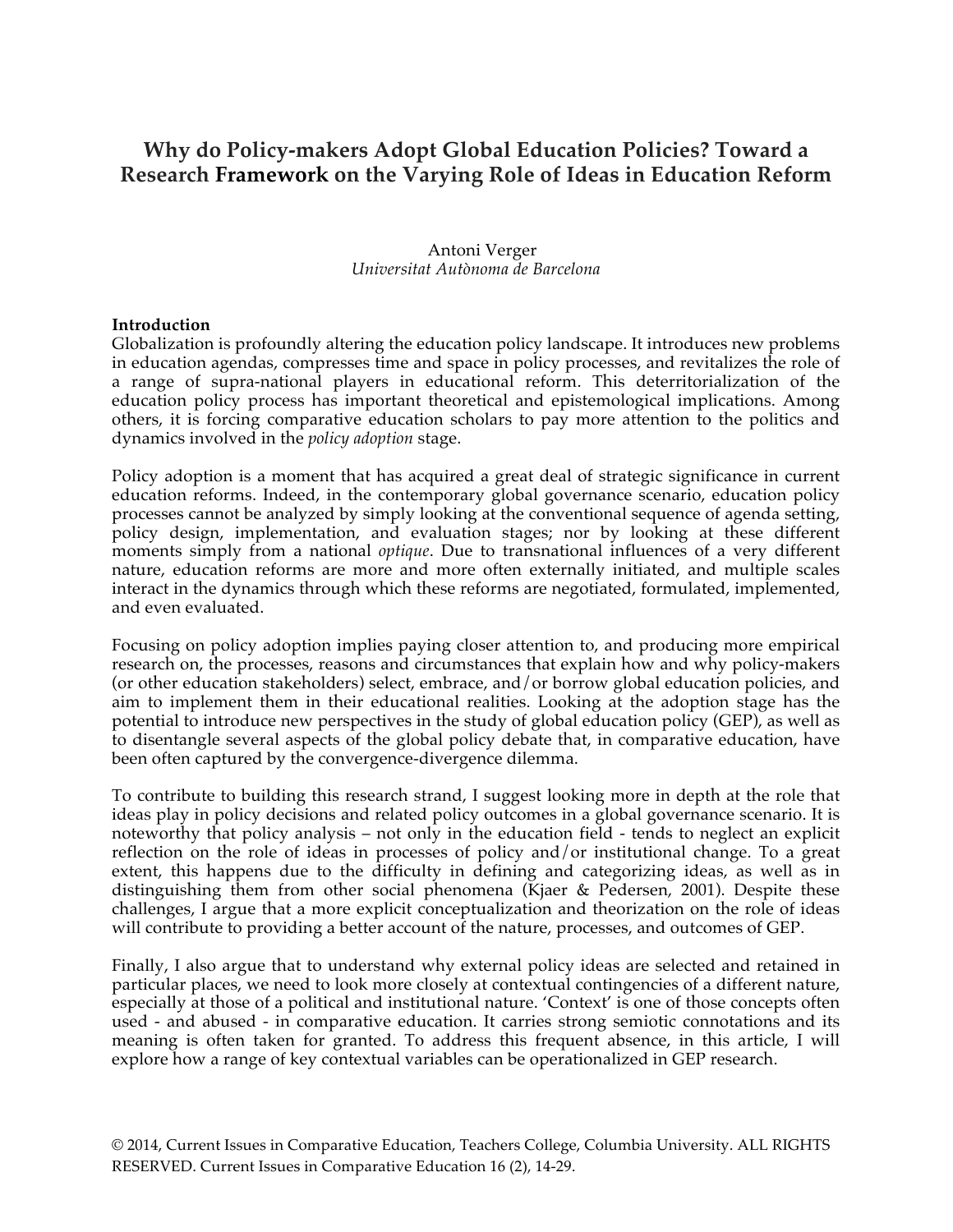# **Why do Policy-makers Adopt Global Education Policies? Toward a Research Framework on the Varying Role of Ideas in Education Reform**

 Antoni Verger *Universitat Autònoma de Barcelona*

## **Introduction**

Globalization is profoundly altering the education policy landscape. It introduces new problems in education agendas, compresses time and space in policy processes, and revitalizes the role of a range of supra-national players in educational reform. This deterritorialization of the education policy process has important theoretical and epistemological implications. Among others, it is forcing comparative education scholars to pay more attention to the politics and dynamics involved in the *policy adoption* stage.

Policy adoption is a moment that has acquired a great deal of strategic significance in current education reforms. Indeed, in the contemporary global governance scenario, education policy processes cannot be analyzed by simply looking at the conventional sequence of agenda setting, policy design, implementation, and evaluation stages; nor by looking at these different moments simply from a national *optique*. Due to transnational influences of a very different nature, education reforms are more and more often externally initiated, and multiple scales interact in the dynamics through which these reforms are negotiated, formulated, implemented, and even evaluated.

Focusing on policy adoption implies paying closer attention to, and producing more empirical research on, the processes, reasons and circumstances that explain how and why policy-makers (or other education stakeholders) select, embrace, and/or borrow global education policies, and aim to implement them in their educational realities. Looking at the adoption stage has the potential to introduce new perspectives in the study of global education policy (GEP), as well as to disentangle several aspects of the global policy debate that, in comparative education, have been often captured by the convergence-divergence dilemma.

To contribute to building this research strand, I suggest looking more in depth at the role that ideas play in policy decisions and related policy outcomes in a global governance scenario. It is noteworthy that policy analysis – not only in the education field - tends to neglect an explicit reflection on the role of ideas in processes of policy and/or institutional change. To a great extent, this happens due to the difficulty in defining and categorizing ideas, as well as in distinguishing them from other social phenomena (Kjaer & Pedersen, 2001). Despite these challenges, I argue that a more explicit conceptualization and theorization on the role of ideas will contribute to providing a better account of the nature, processes, and outcomes of GEP.

Finally, I also argue that to understand why external policy ideas are selected and retained in particular places, we need to look more closely at contextual contingencies of a different nature, especially at those of a political and institutional nature. 'Context' is one of those concepts often used - and abused - in comparative education. It carries strong semiotic connotations and its meaning is often taken for granted. To address this frequent absence, in this article, I will explore how a range of key contextual variables can be operationalized in GEP research.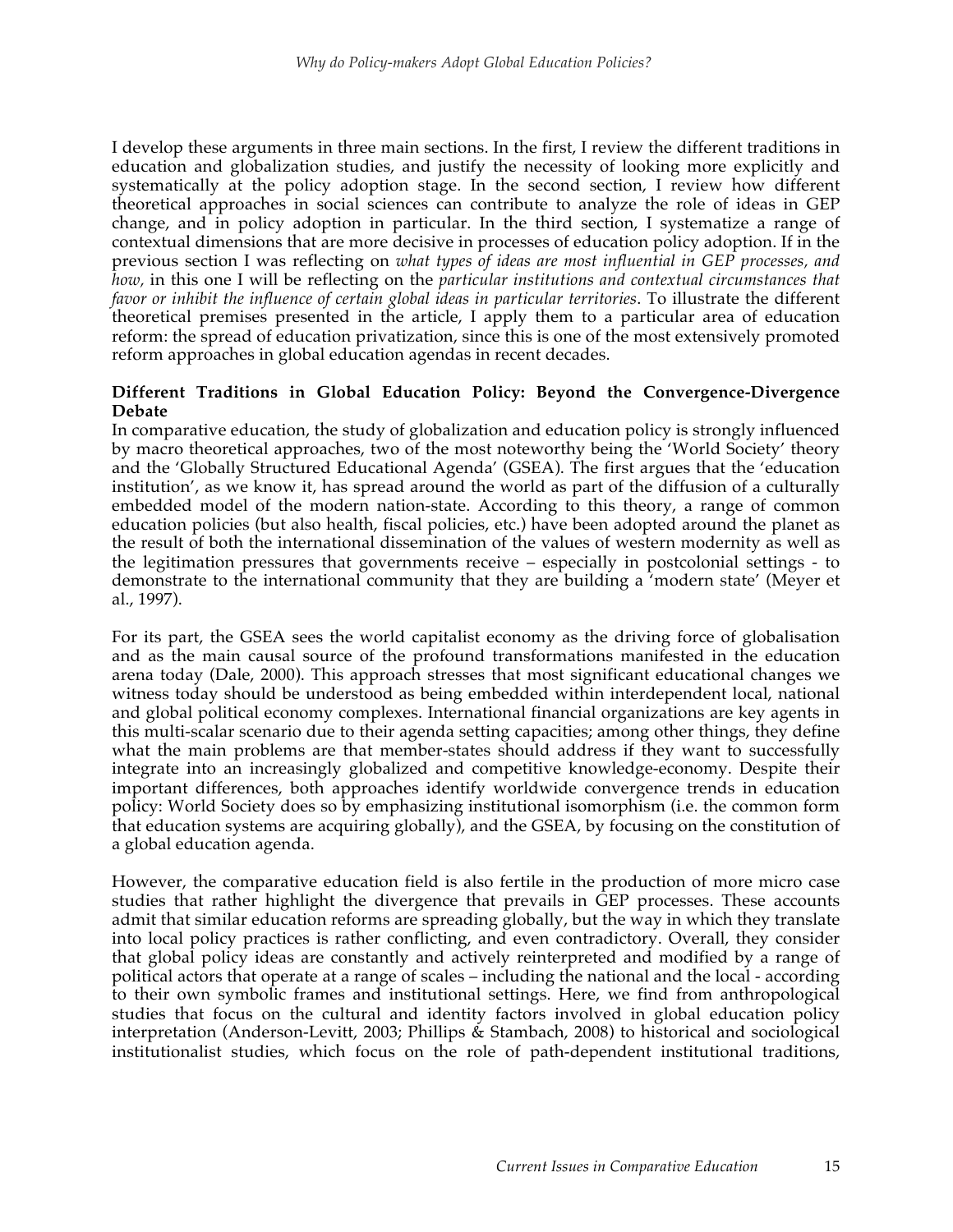I develop these arguments in three main sections. In the first, I review the different traditions in education and globalization studies, and justify the necessity of looking more explicitly and systematically at the policy adoption stage. In the second section, I review how different theoretical approaches in social sciences can contribute to analyze the role of ideas in GEP change, and in policy adoption in particular. In the third section, I systematize a range of contextual dimensions that are more decisive in processes of education policy adoption. If in the previous section I was reflecting on *what types of ideas are most influential in GEP processes, and how,* in this one I will be reflecting on the *particular institutions and contextual circumstances that favor or inhibit the influence of certain global ideas in particular territories*. To illustrate the different theoretical premises presented in the article, I apply them to a particular area of education reform: the spread of education privatization, since this is one of the most extensively promoted reform approaches in global education agendas in recent decades.

## **Different Traditions in Global Education Policy: Beyond the Convergence-Divergence Debate**

In comparative education, the study of globalization and education policy is strongly influenced by macro theoretical approaches, two of the most noteworthy being the 'World Society' theory and the 'Globally Structured Educational Agenda' (GSEA). The first argues that the 'education institution', as we know it, has spread around the world as part of the diffusion of a culturally embedded model of the modern nation-state. According to this theory, a range of common education policies (but also health, fiscal policies, etc.) have been adopted around the planet as the result of both the international dissemination of the values of western modernity as well as the legitimation pressures that governments receive – especially in postcolonial settings - to demonstrate to the international community that they are building a 'modern state' (Meyer et al., 1997).

For its part, the GSEA sees the world capitalist economy as the driving force of globalisation and as the main causal source of the profound transformations manifested in the education arena today (Dale, 2000). This approach stresses that most significant educational changes we witness today should be understood as being embedded within interdependent local, national and global political economy complexes. International financial organizations are key agents in this multi-scalar scenario due to their agenda setting capacities; among other things, they define what the main problems are that member-states should address if they want to successfully integrate into an increasingly globalized and competitive knowledge-economy. Despite their important differences, both approaches identify worldwide convergence trends in education policy: World Society does so by emphasizing institutional isomorphism (i.e. the common form that education systems are acquiring globally), and the GSEA, by focusing on the constitution of a global education agenda.

However, the comparative education field is also fertile in the production of more micro case studies that rather highlight the divergence that prevails in GEP processes. These accounts admit that similar education reforms are spreading globally, but the way in which they translate into local policy practices is rather conflicting, and even contradictory. Overall, they consider that global policy ideas are constantly and actively reinterpreted and modified by a range of political actors that operate at a range of scales – including the national and the local - according to their own symbolic frames and institutional settings. Here, we find from anthropological studies that focus on the cultural and identity factors involved in global education policy interpretation (Anderson-Levitt, 2003; Phillips & Stambach, 2008) to historical and sociological institutionalist studies, which focus on the role of path-dependent institutional traditions,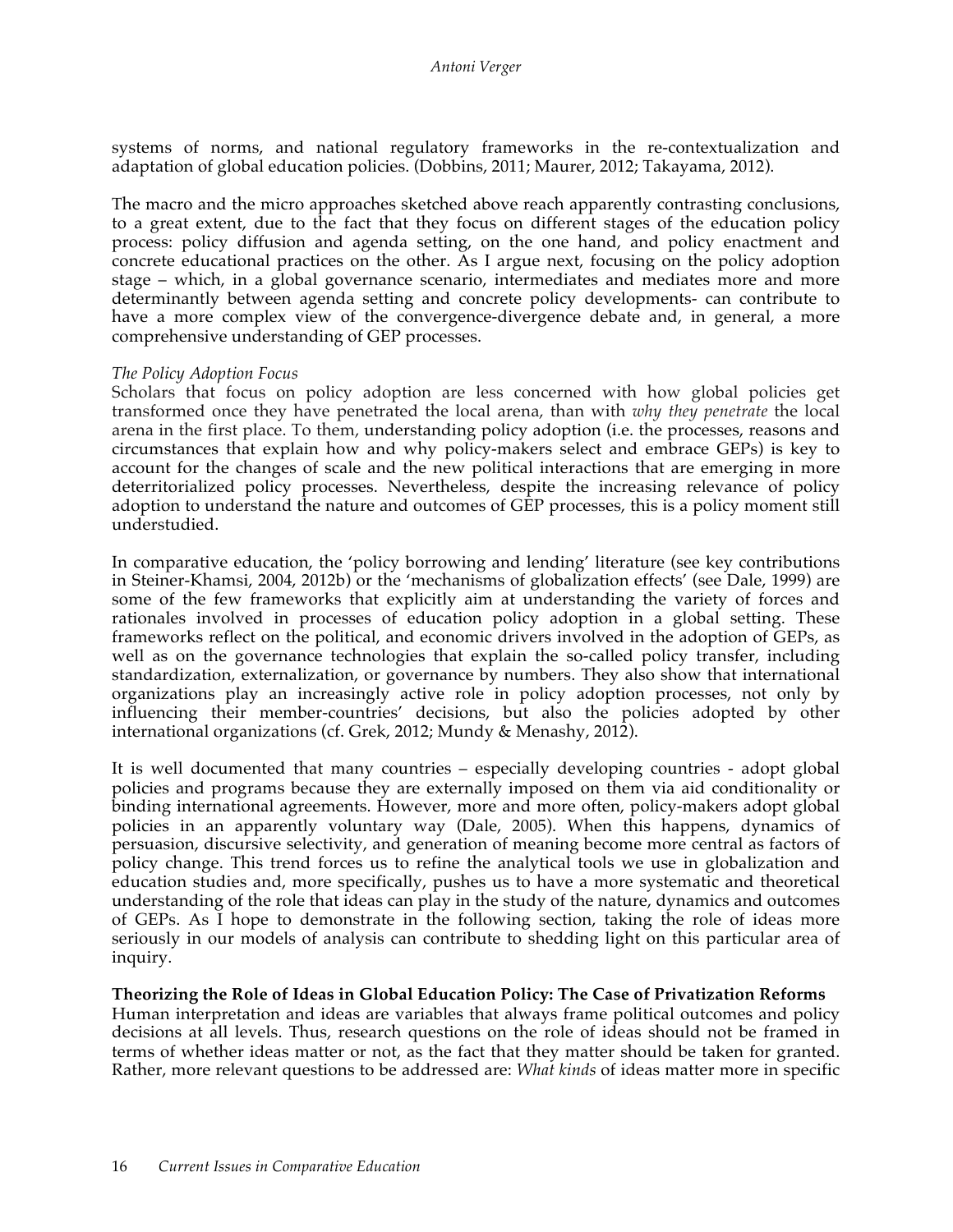systems of norms, and national regulatory frameworks in the re-contextualization and adaptation of global education policies. (Dobbins, 2011; Maurer, 2012; Takayama, 2012).

The macro and the micro approaches sketched above reach apparently contrasting conclusions, to a great extent, due to the fact that they focus on different stages of the education policy process: policy diffusion and agenda setting, on the one hand, and policy enactment and concrete educational practices on the other. As I argue next, focusing on the policy adoption stage – which, in a global governance scenario, intermediates and mediates more and more determinantly between agenda setting and concrete policy developments- can contribute to have a more complex view of the convergence-divergence debate and, in general, a more comprehensive understanding of GEP processes.

### *The Policy Adoption Focus*

Scholars that focus on policy adoption are less concerned with how global policies get transformed once they have penetrated the local arena, than with *why they penetrate* the local arena in the first place. To them, understanding policy adoption (i.e. the processes, reasons and circumstances that explain how and why policy-makers select and embrace GEPs) is key to account for the changes of scale and the new political interactions that are emerging in more deterritorialized policy processes. Nevertheless, despite the increasing relevance of policy adoption to understand the nature and outcomes of GEP processes, this is a policy moment still understudied.

In comparative education, the 'policy borrowing and lending' literature (see key contributions in Steiner-Khamsi, 2004, 2012b) or the 'mechanisms of globalization effects' (see Dale, 1999) are some of the few frameworks that explicitly aim at understanding the variety of forces and rationales involved in processes of education policy adoption in a global setting. These frameworks reflect on the political, and economic drivers involved in the adoption of GEPs, as well as on the governance technologies that explain the so-called policy transfer, including standardization, externalization, or governance by numbers. They also show that international organizations play an increasingly active role in policy adoption processes, not only by influencing their member-countries' decisions, but also the policies adopted by other international organizations (cf. Grek, 2012; Mundy & Menashy, 2012).

It is well documented that many countries – especially developing countries - adopt global policies and programs because they are externally imposed on them via aid conditionality or binding international agreements. However, more and more often, policy-makers adopt global policies in an apparently voluntary way (Dale, 2005). When this happens, dynamics of persuasion, discursive selectivity, and generation of meaning become more central as factors of policy change. This trend forces us to refine the analytical tools we use in globalization and education studies and, more specifically, pushes us to have a more systematic and theoretical understanding of the role that ideas can play in the study of the nature, dynamics and outcomes of GEPs. As I hope to demonstrate in the following section, taking the role of ideas more seriously in our models of analysis can contribute to shedding light on this particular area of inquiry.

### **Theorizing the Role of Ideas in Global Education Policy: The Case of Privatization Reforms**

Human interpretation and ideas are variables that always frame political outcomes and policy decisions at all levels. Thus, research questions on the role of ideas should not be framed in terms of whether ideas matter or not, as the fact that they matter should be taken for granted. Rather, more relevant questions to be addressed are: *What kinds* of ideas matter more in specific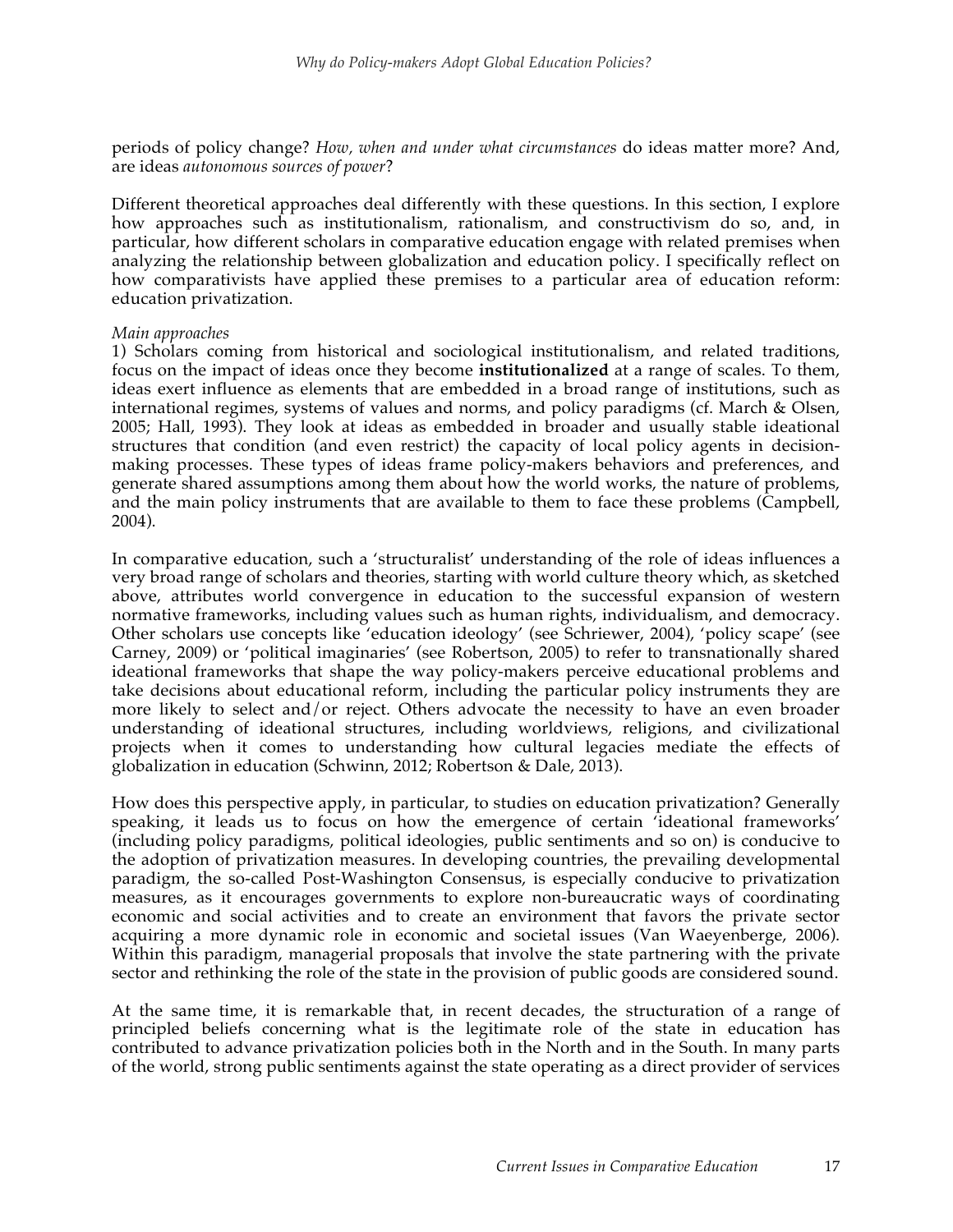periods of policy change? *How, when and under what circumstances* do ideas matter more? And, are ideas *autonomous sources of power*?

Different theoretical approaches deal differently with these questions. In this section, I explore how approaches such as institutionalism, rationalism, and constructivism do so, and, in particular, how different scholars in comparative education engage with related premises when analyzing the relationship between globalization and education policy. I specifically reflect on how comparativists have applied these premises to a particular area of education reform: education privatization.

### *Main approaches*

1) Scholars coming from historical and sociological institutionalism, and related traditions, focus on the impact of ideas once they become **institutionalized** at a range of scales. To them, ideas exert influence as elements that are embedded in a broad range of institutions, such as international regimes, systems of values and norms, and policy paradigms (cf. March & Olsen, 2005; Hall, 1993). They look at ideas as embedded in broader and usually stable ideational structures that condition (and even restrict) the capacity of local policy agents in decisionmaking processes. These types of ideas frame policy-makers behaviors and preferences, and generate shared assumptions among them about how the world works, the nature of problems, and the main policy instruments that are available to them to face these problems (Campbell, 2004).

In comparative education, such a 'structuralist' understanding of the role of ideas influences a very broad range of scholars and theories, starting with world culture theory which, as sketched above, attributes world convergence in education to the successful expansion of western normative frameworks, including values such as human rights, individualism, and democracy. Other scholars use concepts like 'education ideology' (see Schriewer, 2004), 'policy scape' (see Carney, 2009) or 'political imaginaries' (see Robertson, 2005) to refer to transnationally shared ideational frameworks that shape the way policy-makers perceive educational problems and take decisions about educational reform, including the particular policy instruments they are more likely to select and/or reject. Others advocate the necessity to have an even broader understanding of ideational structures, including worldviews, religions, and civilizational projects when it comes to understanding how cultural legacies mediate the effects of globalization in education (Schwinn, 2012; Robertson & Dale, 2013).

How does this perspective apply, in particular, to studies on education privatization? Generally speaking, it leads us to focus on how the emergence of certain 'ideational frameworks' (including policy paradigms, political ideologies, public sentiments and so on) is conducive to the adoption of privatization measures. In developing countries, the prevailing developmental paradigm, the so-called Post-Washington Consensus, is especially conducive to privatization measures, as it encourages governments to explore non-bureaucratic ways of coordinating economic and social activities and to create an environment that favors the private sector acquiring a more dynamic role in economic and societal issues (Van Waeyenberge, 2006). Within this paradigm, managerial proposals that involve the state partnering with the private sector and rethinking the role of the state in the provision of public goods are considered sound.

At the same time, it is remarkable that, in recent decades, the structuration of a range of principled beliefs concerning what is the legitimate role of the state in education has contributed to advance privatization policies both in the North and in the South. In many parts of the world, strong public sentiments against the state operating as a direct provider of services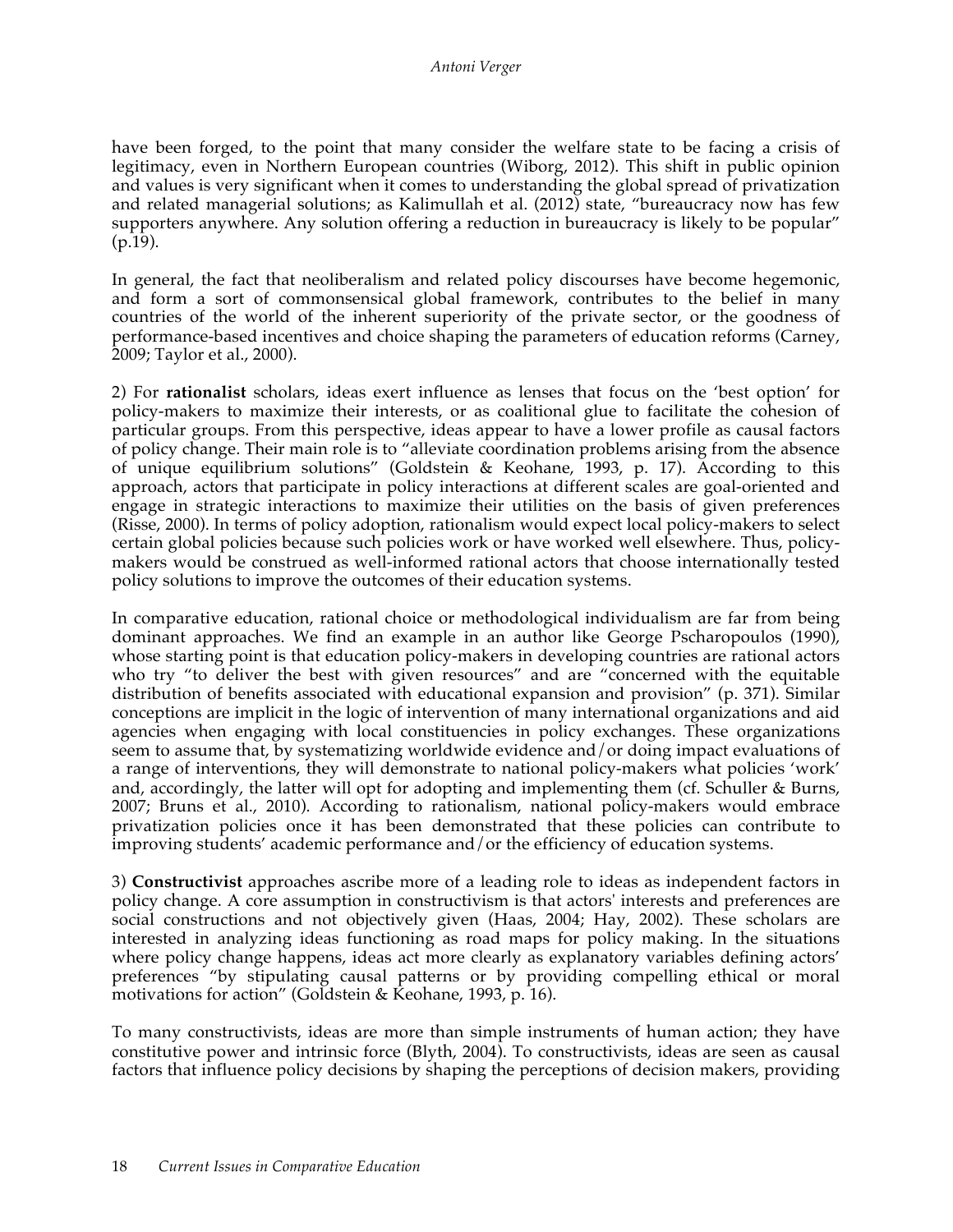have been forged, to the point that many consider the welfare state to be facing a crisis of legitimacy, even in Northern European countries (Wiborg, 2012). This shift in public opinion and values is very significant when it comes to understanding the global spread of privatization and related managerial solutions; as Kalimullah et al. (2012) state, "bureaucracy now has few supporters anywhere. Any solution offering a reduction in bureaucracy is likely to be popular" (p.19).

In general, the fact that neoliberalism and related policy discourses have become hegemonic, and form a sort of commonsensical global framework, contributes to the belief in many countries of the world of the inherent superiority of the private sector, or the goodness of performance-based incentives and choice shaping the parameters of education reforms (Carney, 2009; Taylor et al., 2000).

2) For **rationalist** scholars, ideas exert influence as lenses that focus on the 'best option' for policy-makers to maximize their interests, or as coalitional glue to facilitate the cohesion of particular groups. From this perspective, ideas appear to have a lower profile as causal factors of policy change. Their main role is to "alleviate coordination problems arising from the absence of unique equilibrium solutions" (Goldstein & Keohane, 1993, p. 17). According to this approach, actors that participate in policy interactions at different scales are goal-oriented and engage in strategic interactions to maximize their utilities on the basis of given preferences (Risse, 2000). In terms of policy adoption, rationalism would expect local policy-makers to select certain global policies because such policies work or have worked well elsewhere. Thus, policymakers would be construed as well-informed rational actors that choose internationally tested policy solutions to improve the outcomes of their education systems.

In comparative education, rational choice or methodological individualism are far from being dominant approaches. We find an example in an author like George Pscharopoulos (1990), whose starting point is that education policy-makers in developing countries are rational actors who try "to deliver the best with given resources" and are "concerned with the equitable distribution of benefits associated with educational expansion and provision" (p. 371). Similar conceptions are implicit in the logic of intervention of many international organizations and aid agencies when engaging with local constituencies in policy exchanges. These organizations seem to assume that, by systematizing worldwide evidence and/or doing impact evaluations of a range of interventions, they will demonstrate to national policy-makers what policies 'work' and, accordingly, the latter will opt for adopting and implementing them (cf. Schuller & Burns, 2007; Bruns et al., 2010). According to rationalism, national policy-makers would embrace privatization policies once it has been demonstrated that these policies can contribute to improving students' academic performance and/or the efficiency of education systems.

3) **Constructivist** approaches ascribe more of a leading role to ideas as independent factors in policy change. A core assumption in constructivism is that actors' interests and preferences are social constructions and not objectively given (Haas, 2004; Hay, 2002). These scholars are interested in analyzing ideas functioning as road maps for policy making. In the situations where policy change happens, ideas act more clearly as explanatory variables defining actors' preferences "by stipulating causal patterns or by providing compelling ethical or moral motivations for action" (Goldstein & Keohane, 1993, p. 16).

To many constructivists, ideas are more than simple instruments of human action; they have constitutive power and intrinsic force (Blyth, 2004). To constructivists, ideas are seen as causal factors that influence policy decisions by shaping the perceptions of decision makers, providing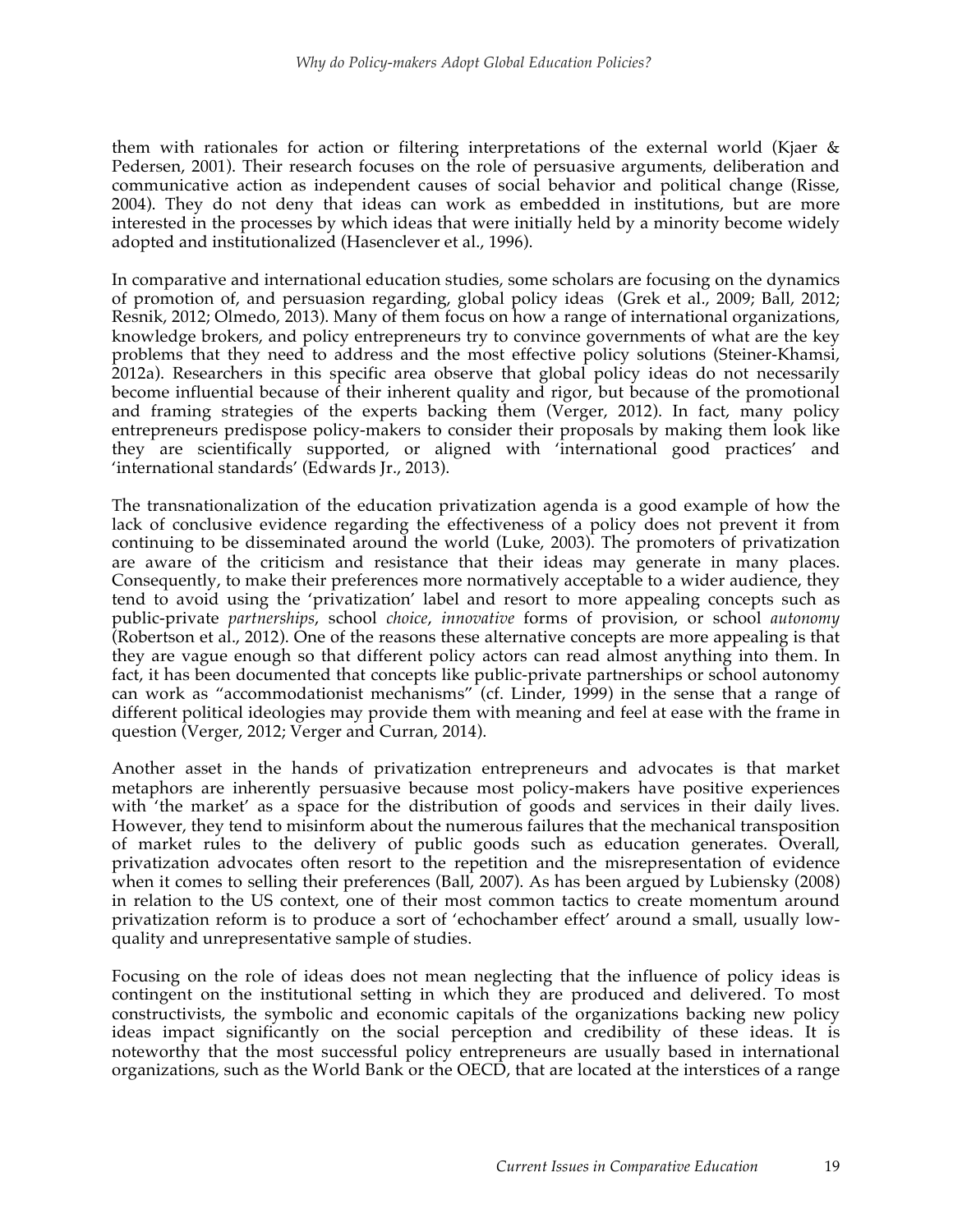them with rationales for action or filtering interpretations of the external world (Kjaer & Pedersen, 2001). Their research focuses on the role of persuasive arguments, deliberation and communicative action as independent causes of social behavior and political change (Risse, 2004). They do not deny that ideas can work as embedded in institutions, but are more interested in the processes by which ideas that were initially held by a minority become widely adopted and institutionalized (Hasenclever et al., 1996).

In comparative and international education studies, some scholars are focusing on the dynamics of promotion of, and persuasion regarding, global policy ideas (Grek et al., 2009; Ball, 2012; Resnik, 2012; Olmedo, 2013). Many of them focus on how a range of international organizations, knowledge brokers, and policy entrepreneurs try to convince governments of what are the key problems that they need to address and the most effective policy solutions (Steiner-Khamsi, 2012a). Researchers in this specific area observe that global policy ideas do not necessarily become influential because of their inherent quality and rigor, but because of the promotional and framing strategies of the experts backing them (Verger, 2012). In fact, many policy entrepreneurs predispose policy-makers to consider their proposals by making them look like they are scientifically supported, or aligned with 'international good practices' and 'international standards' (Edwards Jr., 2013).

The transnationalization of the education privatization agenda is a good example of how the lack of conclusive evidence regarding the effectiveness of a policy does not prevent it from continuing to be disseminated around the world (Luke, 2003). The promoters of privatization are aware of the criticism and resistance that their ideas may generate in many places. Consequently, to make their preferences more normatively acceptable to a wider audience, they tend to avoid using the 'privatization' label and resort to more appealing concepts such as public-private *partnerships*, school *choice*, *innovative* forms of provision, or school *autonomy*  (Robertson et al., 2012). One of the reasons these alternative concepts are more appealing is that they are vague enough so that different policy actors can read almost anything into them. In fact, it has been documented that concepts like public-private partnerships or school autonomy can work as "accommodationist mechanisms" (cf. Linder, 1999) in the sense that a range of different political ideologies may provide them with meaning and feel at ease with the frame in question (Verger, 2012; Verger and Curran, 2014).

Another asset in the hands of privatization entrepreneurs and advocates is that market metaphors are inherently persuasive because most policy-makers have positive experiences with 'the market' as a space for the distribution of goods and services in their daily lives. However, they tend to misinform about the numerous failures that the mechanical transposition of market rules to the delivery of public goods such as education generates. Overall, privatization advocates often resort to the repetition and the misrepresentation of evidence when it comes to selling their preferences (Ball, 2007). As has been argued by Lubiensky (2008) in relation to the US context, one of their most common tactics to create momentum around privatization reform is to produce a sort of 'echochamber effect' around a small, usually lowquality and unrepresentative sample of studies.

Focusing on the role of ideas does not mean neglecting that the influence of policy ideas is contingent on the institutional setting in which they are produced and delivered. To most constructivists, the symbolic and economic capitals of the organizations backing new policy ideas impact significantly on the social perception and credibility of these ideas. It is noteworthy that the most successful policy entrepreneurs are usually based in international organizations, such as the World Bank or the OECD, that are located at the interstices of a range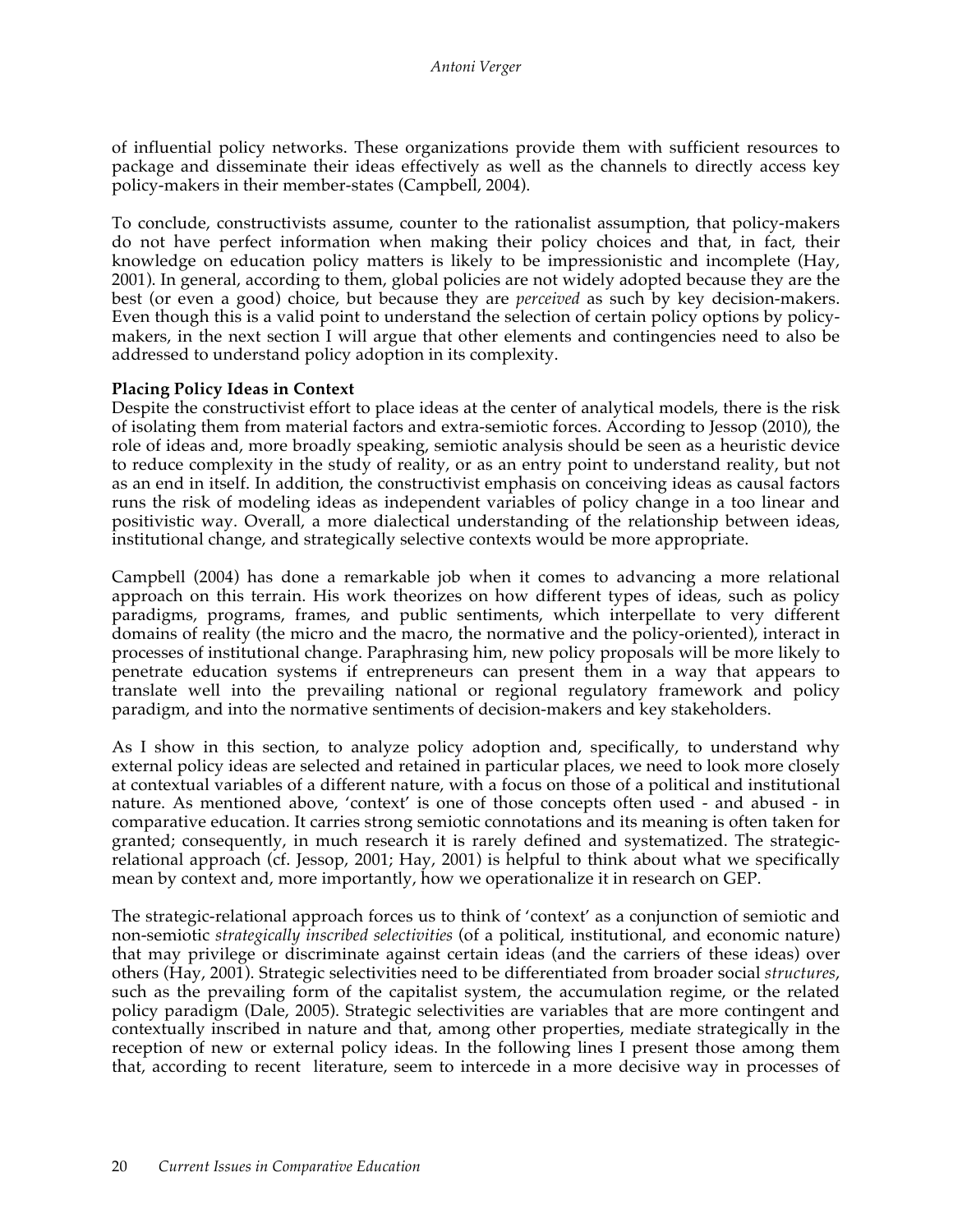of influential policy networks. These organizations provide them with sufficient resources to package and disseminate their ideas effectively as well as the channels to directly access key policy-makers in their member-states (Campbell, 2004).

To conclude, constructivists assume, counter to the rationalist assumption, that policy-makers do not have perfect information when making their policy choices and that, in fact, their knowledge on education policy matters is likely to be impressionistic and incomplete (Hay, 2001). In general, according to them, global policies are not widely adopted because they are the best (or even a good) choice, but because they are *perceived* as such by key decision-makers. Even though this is a valid point to understand the selection of certain policy options by policymakers, in the next section I will argue that other elements and contingencies need to also be addressed to understand policy adoption in its complexity.

## **Placing Policy Ideas in Context**

Despite the constructivist effort to place ideas at the center of analytical models, there is the risk of isolating them from material factors and extra-semiotic forces. According to Jessop (2010), the role of ideas and, more broadly speaking, semiotic analysis should be seen as a heuristic device to reduce complexity in the study of reality, or as an entry point to understand reality, but not as an end in itself. In addition, the constructivist emphasis on conceiving ideas as causal factors runs the risk of modeling ideas as independent variables of policy change in a too linear and positivistic way. Overall, a more dialectical understanding of the relationship between ideas, institutional change, and strategically selective contexts would be more appropriate.

Campbell (2004) has done a remarkable job when it comes to advancing a more relational approach on this terrain. His work theorizes on how different types of ideas, such as policy paradigms, programs, frames, and public sentiments, which interpellate to very different domains of reality (the micro and the macro, the normative and the policy-oriented), interact in processes of institutional change. Paraphrasing him, new policy proposals will be more likely to penetrate education systems if entrepreneurs can present them in a way that appears to translate well into the prevailing national or regional regulatory framework and policy paradigm, and into the normative sentiments of decision-makers and key stakeholders.

As I show in this section, to analyze policy adoption and, specifically, to understand why external policy ideas are selected and retained in particular places, we need to look more closely at contextual variables of a different nature, with a focus on those of a political and institutional nature. As mentioned above, 'context' is one of those concepts often used - and abused - in comparative education. It carries strong semiotic connotations and its meaning is often taken for granted; consequently, in much research it is rarely defined and systematized. The strategicrelational approach (cf. Jessop, 2001; Hay, 2001) is helpful to think about what we specifically mean by context and, more importantly, how we operationalize it in research on GEP.

The strategic-relational approach forces us to think of 'context' as a conjunction of semiotic and non-semiotic *strategically inscribed selectivities* (of a political, institutional, and economic nature) that may privilege or discriminate against certain ideas (and the carriers of these ideas) over others (Hay, 2001). Strategic selectivities need to be differentiated from broader social *structures*, such as the prevailing form of the capitalist system, the accumulation regime, or the related policy paradigm (Dale, 2005). Strategic selectivities are variables that are more contingent and contextually inscribed in nature and that, among other properties, mediate strategically in the reception of new or external policy ideas. In the following lines I present those among them that, according to recent literature, seem to intercede in a more decisive way in processes of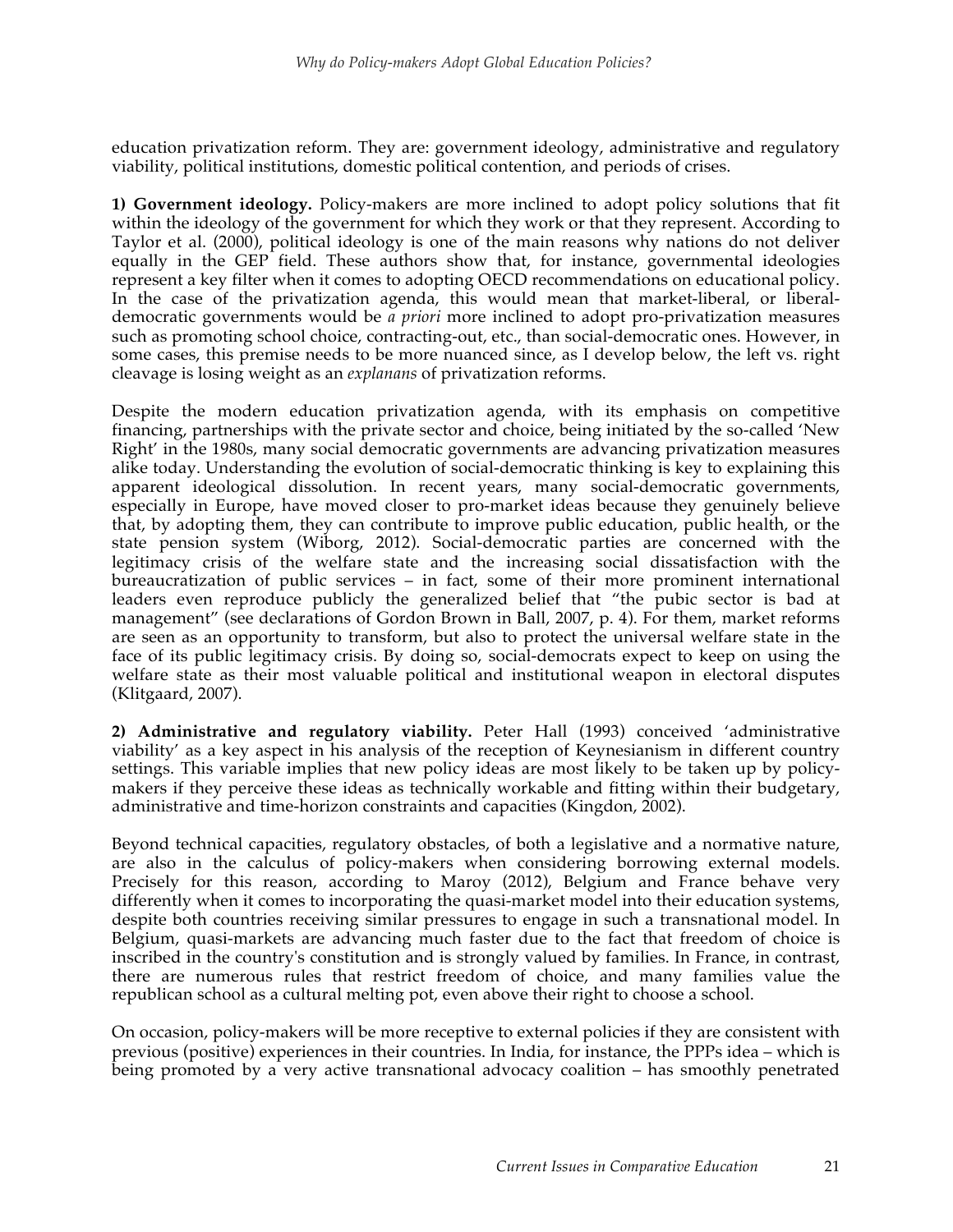education privatization reform. They are: government ideology, administrative and regulatory viability, political institutions, domestic political contention, and periods of crises.

**1) Government ideology.** Policy-makers are more inclined to adopt policy solutions that fit within the ideology of the government for which they work or that they represent. According to Taylor et al. (2000), political ideology is one of the main reasons why nations do not deliver equally in the GEP field. These authors show that, for instance, governmental ideologies represent a key filter when it comes to adopting OECD recommendations on educational policy. In the case of the privatization agenda, this would mean that market-liberal, or liberaldemocratic governments would be *a priori* more inclined to adopt pro-privatization measures such as promoting school choice, contracting-out, etc., than social-democratic ones. However, in some cases, this premise needs to be more nuanced since, as I develop below, the left vs. right cleavage is losing weight as an *explanans* of privatization reforms.

Despite the modern education privatization agenda, with its emphasis on competitive financing, partnerships with the private sector and choice, being initiated by the so-called 'New Right' in the 1980s, many social democratic governments are advancing privatization measures alike today. Understanding the evolution of social-democratic thinking is key to explaining this apparent ideological dissolution. In recent years, many social-democratic governments, especially in Europe, have moved closer to pro-market ideas because they genuinely believe that, by adopting them, they can contribute to improve public education, public health, or the state pension system (Wiborg, 2012). Social-democratic parties are concerned with the legitimacy crisis of the welfare state and the increasing social dissatisfaction with the bureaucratization of public services – in fact, some of their more prominent international leaders even reproduce publicly the generalized belief that "the pubic sector is bad at management" (see declarations of Gordon Brown in Ball, 2007, p. 4). For them, market reforms are seen as an opportunity to transform, but also to protect the universal welfare state in the face of its public legitimacy crisis. By doing so, social-democrats expect to keep on using the welfare state as their most valuable political and institutional weapon in electoral disputes (Klitgaard, 2007).

**2) Administrative and regulatory viability.** Peter Hall (1993) conceived 'administrative viability' as a key aspect in his analysis of the reception of Keynesianism in different country settings. This variable implies that new policy ideas are most likely to be taken up by policymakers if they perceive these ideas as technically workable and fitting within their budgetary, administrative and time-horizon constraints and capacities (Kingdon, 2002).

Beyond technical capacities, regulatory obstacles, of both a legislative and a normative nature, are also in the calculus of policy-makers when considering borrowing external models. Precisely for this reason, according to Maroy (2012), Belgium and France behave very differently when it comes to incorporating the quasi-market model into their education systems, despite both countries receiving similar pressures to engage in such a transnational model. In Belgium, quasi-markets are advancing much faster due to the fact that freedom of choice is inscribed in the country's constitution and is strongly valued by families. In France, in contrast, there are numerous rules that restrict freedom of choice, and many families value the republican school as a cultural melting pot, even above their right to choose a school.

On occasion, policy-makers will be more receptive to external policies if they are consistent with previous (positive) experiences in their countries. In India, for instance, the PPPs idea – which is being promoted by a very active transnational advocacy coalition – has smoothly penetrated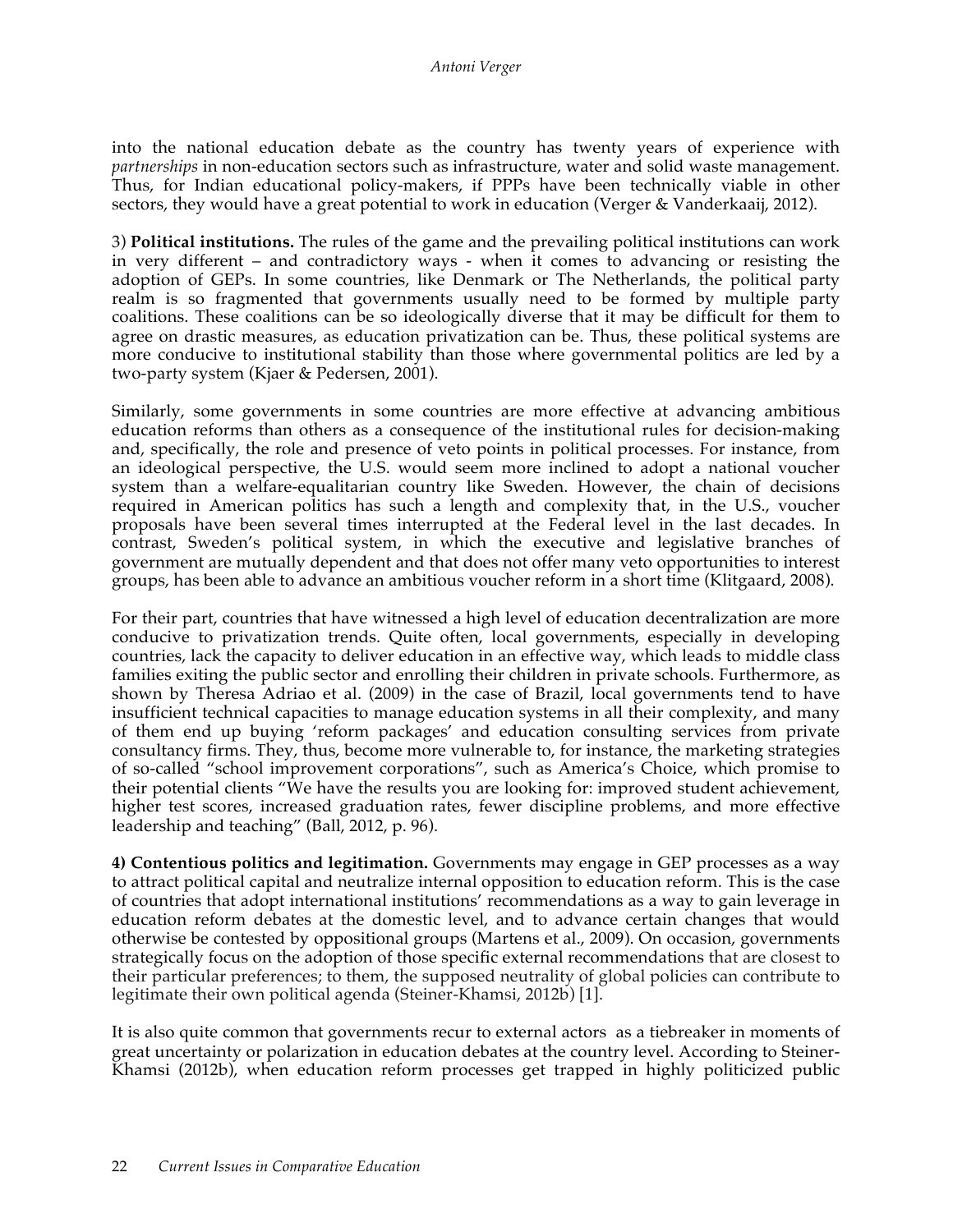into the national education debate as the country has twenty years of experience with *partnerships* in non-education sectors such as infrastructure, water and solid waste management. Thus, for Indian educational policy-makers, if PPPs have been technically viable in other sectors, they would have a great potential to work in education (Verger & Vanderkaaij, 2012).

3) **Political institutions.** The rules of the game and the prevailing political institutions can work in very different – and contradictory ways - when it comes to advancing or resisting the adoption of GEPs. In some countries, like Denmark or The Netherlands, the political party realm is so fragmented that governments usually need to be formed by multiple party coalitions. These coalitions can be so ideologically diverse that it may be difficult for them to agree on drastic measures, as education privatization can be. Thus, these political systems are more conducive to institutional stability than those where governmental politics are led by a two-party system (Kjaer & Pedersen, 2001).

Similarly, some governments in some countries are more effective at advancing ambitious education reforms than others as a consequence of the institutional rules for decision-making and, specifically, the role and presence of veto points in political processes. For instance, from an ideological perspective, the U.S. would seem more inclined to adopt a national voucher system than a welfare-equalitarian country like Sweden. However, the chain of decisions required in American politics has such a length and complexity that, in the U.S., voucher proposals have been several times interrupted at the Federal level in the last decades. In contrast, Sweden's political system, in which the executive and legislative branches of government are mutually dependent and that does not offer many veto opportunities to interest groups, has been able to advance an ambitious voucher reform in a short time (Klitgaard, 2008).

For their part, countries that have witnessed a high level of education decentralization are more conducive to privatization trends. Quite often, local governments, especially in developing countries, lack the capacity to deliver education in an effective way, which leads to middle class families exiting the public sector and enrolling their children in private schools. Furthermore, as shown by Theresa Adriao et al. (2009) in the case of Brazil, local governments tend to have insufficient technical capacities to manage education systems in all their complexity, and many of them end up buying 'reform packages' and education consulting services from private consultancy firms. They, thus, become more vulnerable to, for instance, the marketing strategies of so-called "school improvement corporations", such as America's Choice, which promise to their potential clients "We have the results you are looking for: improved student achievement, higher test scores, increased graduation rates, fewer discipline problems, and more effective leadership and teaching" (Ball, 2012, p. 96).

**4) Contentious politics and legitimation.** Governments may engage in GEP processes as a way to attract political capital and neutralize internal opposition to education reform. This is the case of countries that adopt international institutions' recommendations as a way to gain leverage in education reform debates at the domestic level, and to advance certain changes that would otherwise be contested by oppositional groups (Martens et al., 2009). On occasion, governments strategically focus on the adoption of those specific external recommendations that are closest to their particular preferences; to them, the supposed neutrality of global policies can contribute to legitimate their own political agenda (Steiner-Khamsi, 2012b) [1].

It is also quite common that governments recur to external actors as a tiebreaker in moments of great uncertainty or polarization in education debates at the country level. According to Steiner-Khamsi (2012b), when education reform processes get trapped in highly politicized public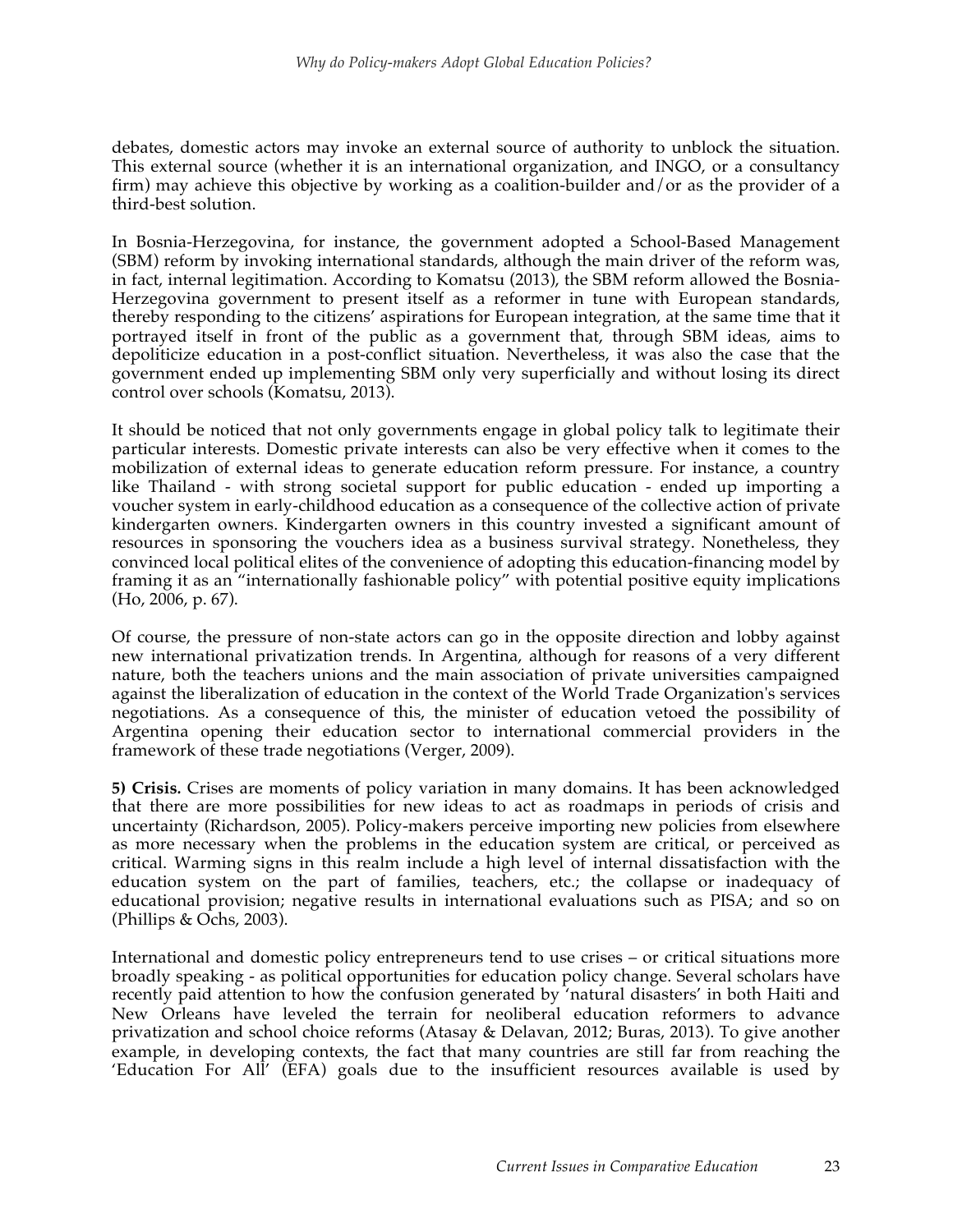debates, domestic actors may invoke an external source of authority to unblock the situation. This external source (whether it is an international organization, and INGO, or a consultancy firm) may achieve this objective by working as a coalition-builder and/or as the provider of a third-best solution.

In Bosnia-Herzegovina, for instance, the government adopted a School-Based Management (SBM) reform by invoking international standards, although the main driver of the reform was, in fact, internal legitimation. According to Komatsu (2013), the SBM reform allowed the Bosnia-Herzegovina government to present itself as a reformer in tune with European standards, thereby responding to the citizens' aspirations for European integration, at the same time that it portrayed itself in front of the public as a government that, through SBM ideas, aims to depoliticize education in a post-conflict situation. Nevertheless, it was also the case that the government ended up implementing SBM only very superficially and without losing its direct control over schools (Komatsu, 2013).

It should be noticed that not only governments engage in global policy talk to legitimate their particular interests. Domestic private interests can also be very effective when it comes to the mobilization of external ideas to generate education reform pressure. For instance, a country like Thailand - with strong societal support for public education - ended up importing a voucher system in early-childhood education as a consequence of the collective action of private kindergarten owners. Kindergarten owners in this country invested a significant amount of resources in sponsoring the vouchers idea as a business survival strategy. Nonetheless, they convinced local political elites of the convenience of adopting this education-financing model by framing it as an "internationally fashionable policy" with potential positive equity implications (Ho, 2006, p. 67).

Of course, the pressure of non-state actors can go in the opposite direction and lobby against new international privatization trends. In Argentina, although for reasons of a very different nature, both the teachers unions and the main association of private universities campaigned against the liberalization of education in the context of the World Trade Organization's services negotiations. As a consequence of this, the minister of education vetoed the possibility of Argentina opening their education sector to international commercial providers in the framework of these trade negotiations (Verger, 2009).

**5) Crisis***.* Crises are moments of policy variation in many domains. It has been acknowledged that there are more possibilities for new ideas to act as roadmaps in periods of crisis and uncertainty (Richardson, 2005). Policy-makers perceive importing new policies from elsewhere as more necessary when the problems in the education system are critical, or perceived as critical. Warming signs in this realm include a high level of internal dissatisfaction with the education system on the part of families, teachers, etc.; the collapse or inadequacy of educational provision; negative results in international evaluations such as PISA; and so on (Phillips & Ochs, 2003).

International and domestic policy entrepreneurs tend to use crises – or critical situations more broadly speaking - as political opportunities for education policy change. Several scholars have recently paid attention to how the confusion generated by 'natural disasters' in both Haiti and New Orleans have leveled the terrain for neoliberal education reformers to advance privatization and school choice reforms (Atasay & Delavan, 2012; Buras, 2013). To give another example, in developing contexts, the fact that many countries are still far from reaching the 'Education For All' (EFA) goals due to the insufficient resources available is used by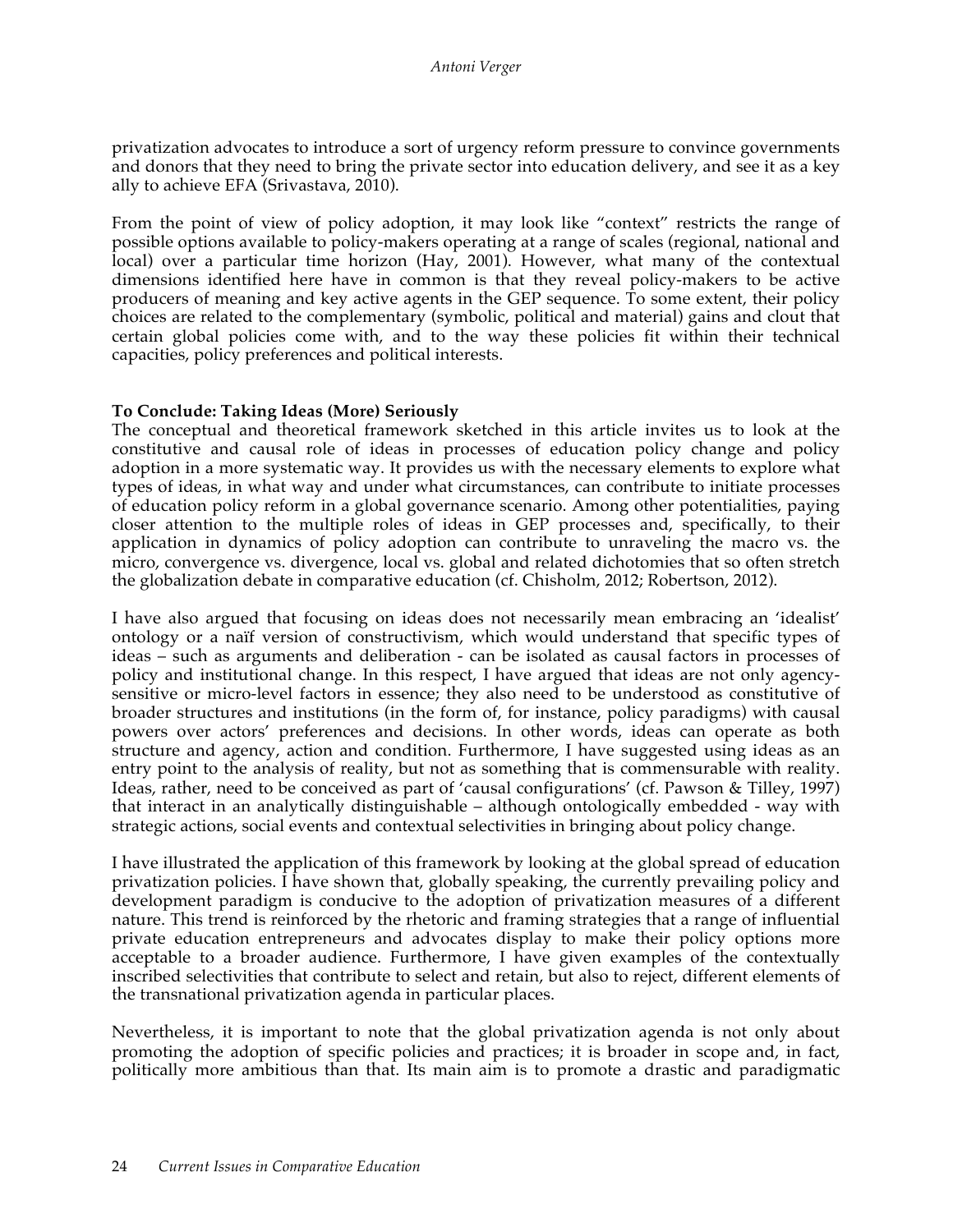privatization advocates to introduce a sort of urgency reform pressure to convince governments and donors that they need to bring the private sector into education delivery, and see it as a key ally to achieve EFA (Srivastava, 2010).

From the point of view of policy adoption, it may look like "context" restricts the range of possible options available to policy-makers operating at a range of scales (regional, national and local) over a particular time horizon (Hay, 2001). However, what many of the contextual dimensions identified here have in common is that they reveal policy-makers to be active producers of meaning and key active agents in the GEP sequence. To some extent, their policy choices are related to the complementary (symbolic, political and material) gains and clout that certain global policies come with, and to the way these policies fit within their technical capacities, policy preferences and political interests.

# **To Conclude: Taking Ideas (More) Seriously**

The conceptual and theoretical framework sketched in this article invites us to look at the constitutive and causal role of ideas in processes of education policy change and policy adoption in a more systematic way. It provides us with the necessary elements to explore what types of ideas, in what way and under what circumstances, can contribute to initiate processes of education policy reform in a global governance scenario. Among other potentialities, paying closer attention to the multiple roles of ideas in GEP processes and, specifically, to their application in dynamics of policy adoption can contribute to unraveling the macro vs. the micro, convergence vs. divergence, local vs. global and related dichotomies that so often stretch the globalization debate in comparative education (cf. Chisholm, 2012; Robertson, 2012).

I have also argued that focusing on ideas does not necessarily mean embracing an 'idealist' ontology or a naïf version of constructivism, which would understand that specific types of ideas – such as arguments and deliberation - can be isolated as causal factors in processes of policy and institutional change. In this respect, I have argued that ideas are not only agencysensitive or micro-level factors in essence; they also need to be understood as constitutive of broader structures and institutions (in the form of, for instance, policy paradigms) with causal powers over actors' preferences and decisions. In other words, ideas can operate as both structure and agency, action and condition. Furthermore, I have suggested using ideas as an entry point to the analysis of reality, but not as something that is commensurable with reality. Ideas, rather, need to be conceived as part of 'causal configurations' (cf. Pawson & Tilley, 1997) that interact in an analytically distinguishable – although ontologically embedded - way with strategic actions, social events and contextual selectivities in bringing about policy change.

I have illustrated the application of this framework by looking at the global spread of education privatization policies. I have shown that, globally speaking, the currently prevailing policy and development paradigm is conducive to the adoption of privatization measures of a different nature. This trend is reinforced by the rhetoric and framing strategies that a range of influential private education entrepreneurs and advocates display to make their policy options more acceptable to a broader audience. Furthermore, I have given examples of the contextually inscribed selectivities that contribute to select and retain, but also to reject, different elements of the transnational privatization agenda in particular places.

Nevertheless, it is important to note that the global privatization agenda is not only about promoting the adoption of specific policies and practices; it is broader in scope and, in fact, politically more ambitious than that. Its main aim is to promote a drastic and paradigmatic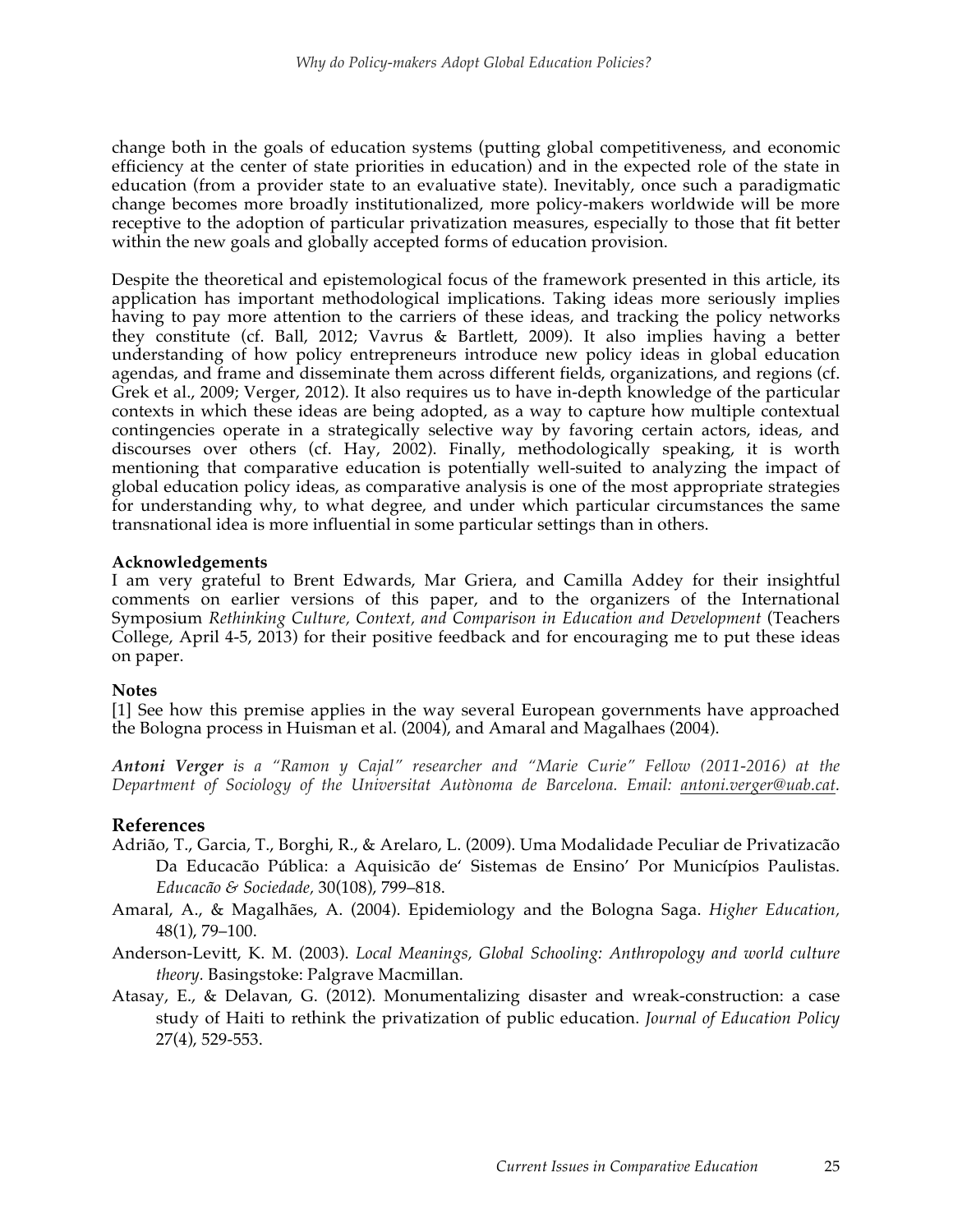change both in the goals of education systems (putting global competitiveness, and economic efficiency at the center of state priorities in education) and in the expected role of the state in education (from a provider state to an evaluative state). Inevitably, once such a paradigmatic change becomes more broadly institutionalized, more policy-makers worldwide will be more receptive to the adoption of particular privatization measures, especially to those that fit better within the new goals and globally accepted forms of education provision.

Despite the theoretical and epistemological focus of the framework presented in this article, its application has important methodological implications. Taking ideas more seriously implies having to pay more attention to the carriers of these ideas, and tracking the policy networks they constitute (cf. Ball, 2012; Vavrus & Bartlett, 2009). It also implies having a better understanding of how policy entrepreneurs introduce new policy ideas in global education agendas, and frame and disseminate them across different fields, organizations, and regions (cf. Grek et al., 2009; Verger, 2012). It also requires us to have in-depth knowledge of the particular contexts in which these ideas are being adopted, as a way to capture how multiple contextual contingencies operate in a strategically selective way by favoring certain actors, ideas, and discourses over others (cf. Hay, 2002). Finally, methodologically speaking, it is worth mentioning that comparative education is potentially well-suited to analyzing the impact of global education policy ideas, as comparative analysis is one of the most appropriate strategies for understanding why, to what degree, and under which particular circumstances the same transnational idea is more influential in some particular settings than in others.

# **Acknowledgements**

I am very grateful to Brent Edwards, Mar Griera, and Camilla Addey for their insightful comments on earlier versions of this paper, and to the organizers of the International Symposium *Rethinking Culture, Context, and Comparison in Education and Development* (Teachers College, April 4-5, 2013) for their positive feedback and for encouraging me to put these ideas on paper.

# **Notes**

[1] See how this premise applies in the way several European governments have approached the Bologna process in Huisman et al. (2004), and Amaral and Magalhaes (2004).

*Antoni Verger is a "Ramon y Cajal" researcher and "Marie Curie" Fellow (2011-2016) at the Department of Sociology of the Universitat Autònoma de Barcelona. Email: antoni.verger@uab.cat.*

# **References**

- Adrião, T., Garcia, T., Borghi, R., & Arelaro, L. (2009). Uma Modalidade Peculiar de Privatizacão Da Educacão Pública: a Aquisicão de' Sistemas de Ensino' Por Municípios Paulistas. *Educacão & Sociedade,* 30(108), 799–818.
- Amaral, A., & Magalhães, A. (2004). Epidemiology and the Bologna Saga. *Higher Education,* 48(1), 79–100.
- Anderson-Levitt, K. M. (2003). *Local Meanings, Global Schooling: Anthropology and world culture theory.* Basingstoke: Palgrave Macmillan.
- Atasay, E., & Delavan, G. (2012). Monumentalizing disaster and wreak-construction: a case study of Haiti to rethink the privatization of public education. *Journal of Education Policy*  27(4), 529-553.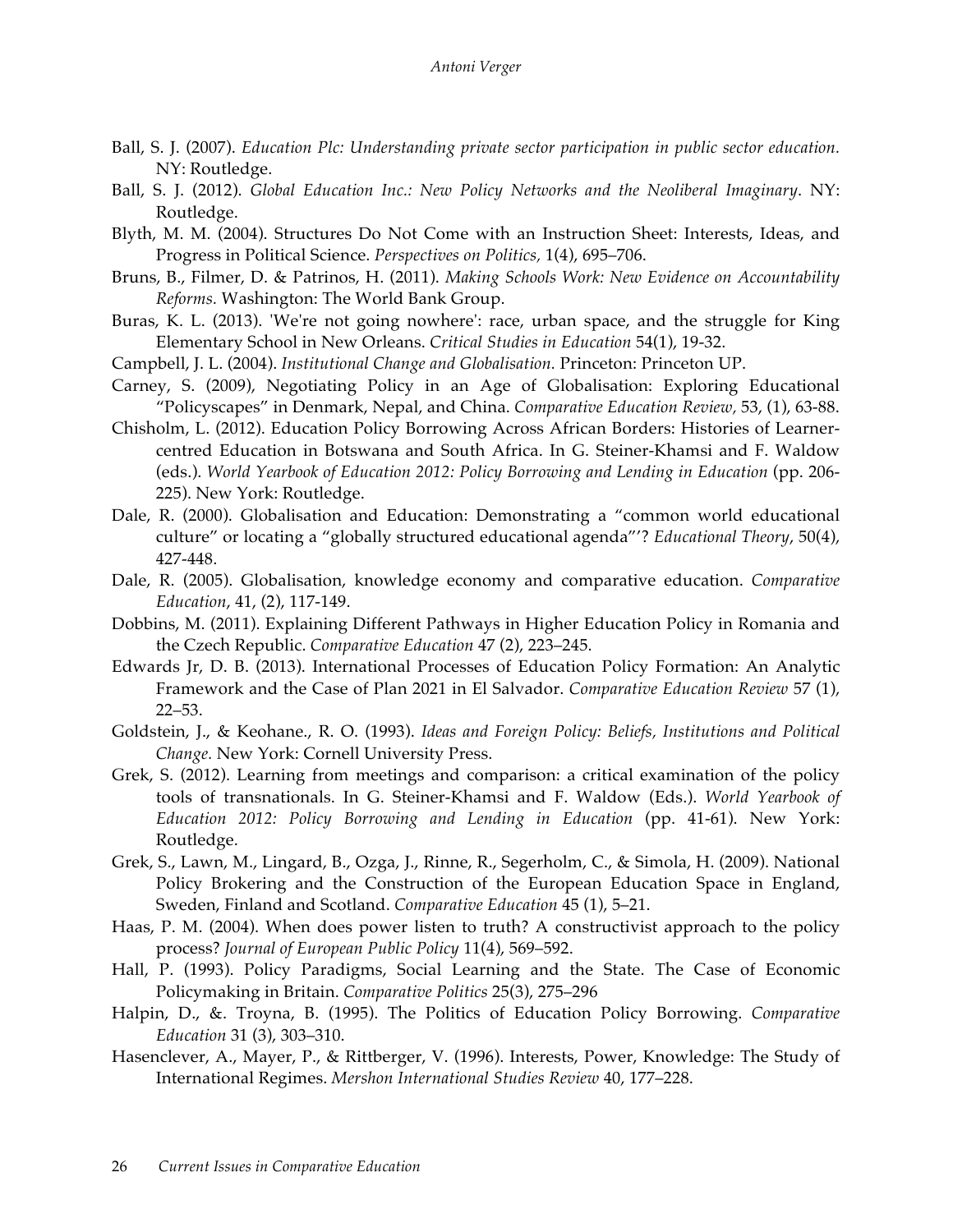- Ball, S. J. (2007). *Education Plc: Understanding private sector participation in public sector education.*  NY: Routledge.
- Ball, S. J. (2012). *Global Education Inc.: New Policy Networks and the Neoliberal Imaginary*. NY: Routledge.
- Blyth, M. M. (2004). Structures Do Not Come with an Instruction Sheet: Interests, Ideas, and Progress in Political Science. *Perspectives on Politics,* 1(4), 695–706.
- Bruns, B., Filmer, D. & Patrinos, H. (2011). *Making Schools Work: New Evidence on Accountability Reforms.* Washington: The World Bank Group.
- Buras, K. L. (2013). 'We're not going nowhere': race, urban space, and the struggle for King Elementary School in New Orleans. *Critical Studies in Education* 54(1), 19-32.
- Campbell, J. L. (2004). *Institutional Change and Globalisation.* Princeton: Princeton UP.
- Carney, S. (2009), Negotiating Policy in an Age of Globalisation: Exploring Educational "Policyscapes" in Denmark, Nepal, and China. *Comparative Education Review,* 53, (1), 63-88.
- Chisholm, L. (2012). Education Policy Borrowing Across African Borders: Histories of Learnercentred Education in Botswana and South Africa. In G. Steiner-Khamsi and F. Waldow (eds.). *World Yearbook of Education 2012: Policy Borrowing and Lending in Education* (pp. 206- 225). New York: Routledge.
- Dale, R. (2000). Globalisation and Education: Demonstrating a "common world educational culture" or locating a "globally structured educational agenda"'? *Educational Theory*, 50(4), 427-448.
- Dale, R. (2005). Globalisation, knowledge economy and comparative education. *Comparative Education*, 41, (2), 117-149.
- Dobbins, M. (2011). Explaining Different Pathways in Higher Education Policy in Romania and the Czech Republic. *Comparative Education* 47 (2), 223–245.
- Edwards Jr, D. B. (2013). International Processes of Education Policy Formation: An Analytic Framework and the Case of Plan 2021 in El Salvador. *Comparative Education Review* 57 (1), 22–53.
- Goldstein, J., & Keohane., R. O. (1993). *Ideas and Foreign Policy: Beliefs, Institutions and Political Change.* New York: Cornell University Press.
- Grek, S. (2012). Learning from meetings and comparison: a critical examination of the policy tools of transnationals. In G. Steiner-Khamsi and F. Waldow (Eds.). *World Yearbook of Education 2012: Policy Borrowing and Lending in Education* (pp. 41-61). New York: Routledge.
- Grek, S., Lawn, M., Lingard, B., Ozga, J., Rinne, R., Segerholm, C., & Simola, H. (2009). National Policy Brokering and the Construction of the European Education Space in England, Sweden, Finland and Scotland. *Comparative Education* 45 (1), 5–21.
- Haas, P. M. (2004). When does power listen to truth? A constructivist approach to the policy process? *Journal of European Public Policy* 11(4), 569–592.
- Hall, P. (1993). Policy Paradigms, Social Learning and the State. The Case of Economic Policymaking in Britain. *Comparative Politics* 25(3), 275–296
- Halpin, D., &. Troyna, B. (1995). The Politics of Education Policy Borrowing. *Comparative Education* 31 (3), 303–310.
- Hasenclever, A., Mayer, P., & Rittberger, V. (1996). Interests, Power, Knowledge: The Study of International Regimes. *Mershon International Studies Review* 40, 177–228.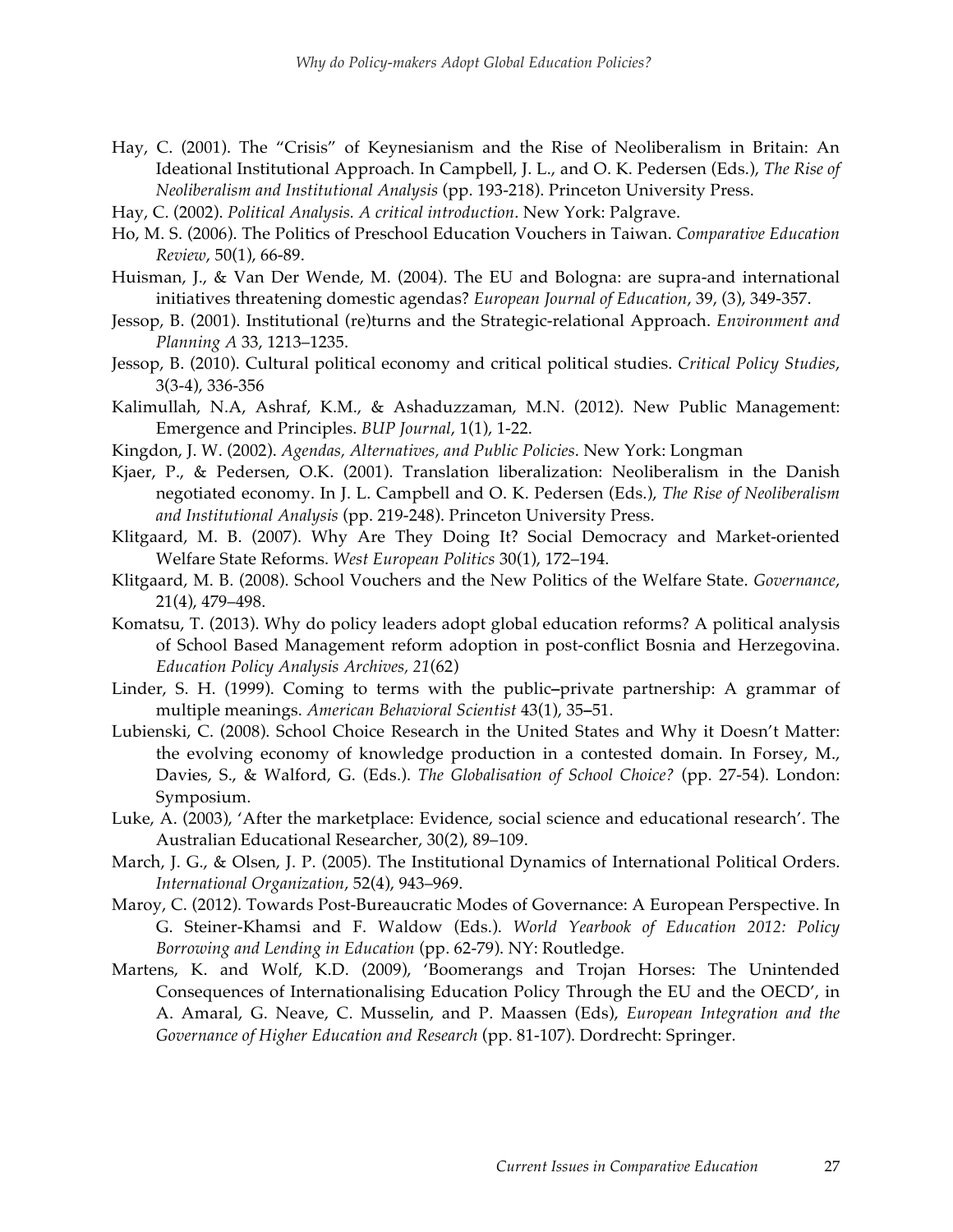- Hay, C. (2001). The "Crisis" of Keynesianism and the Rise of Neoliberalism in Britain: An Ideational Institutional Approach. In Campbell, J. L., and O. K. Pedersen (Eds.), *The Rise of Neoliberalism and Institutional Analysis* (pp. 193-218). Princeton University Press.
- Hay, C. (2002). *Political Analysis. A critical introduction*. New York: Palgrave.
- Ho, M. S. (2006). The Politics of Preschool Education Vouchers in Taiwan. *Comparative Education Review*, 50(1), 66-89.
- Huisman, J., & Van Der Wende, M. (2004). The EU and Bologna: are supra-and international initiatives threatening domestic agendas? *European Journal of Education*, 39, (3), 349-357.
- Jessop, B. (2001). Institutional (re)turns and the Strategic-relational Approach. *Environment and Planning A* 33, 1213–1235.
- Jessop, B. (2010). Cultural political economy and critical political studies. *Critical Policy Studies*, 3(3-4), 336-356
- Kalimullah, N.A, Ashraf, K.M., & Ashaduzzaman, M.N. (2012). New Public Management: Emergence and Principles. *BUP Journal*, 1(1), 1-22.
- Kingdon, J. W. (2002). *Agendas, Alternatives, and Public Policies*. New York: Longman
- Kjaer, P., & Pedersen, O.K. (2001). Translation liberalization: Neoliberalism in the Danish negotiated economy. In J. L. Campbell and O. K. Pedersen (Eds.), *The Rise of Neoliberalism and Institutional Analysis* (pp. 219-248). Princeton University Press.
- Klitgaard, M. B. (2007). Why Are They Doing It? Social Democracy and Market-oriented Welfare State Reforms. *West European Politics* 30(1), 172–194.
- Klitgaard, M. B. (2008). School Vouchers and the New Politics of the Welfare State. *Governance*, 21(4), 479–498.
- Komatsu, T. (2013). Why do policy leaders adopt global education reforms? A political analysis of School Based Management reform adoption in post-conflict Bosnia and Herzegovina. *Education Policy Analysis Archives, 21*(62)
- Linder, S. H. (1999). Coming to terms with the public**–**private partnership: A grammar of multiple meanings. *American Behavioral Scientist* 43(1), 35**–**51.
- Lubienski, C. (2008). School Choice Research in the United States and Why it Doesn't Matter: the evolving economy of knowledge production in a contested domain. In Forsey, M., Davies, S., & Walford, G. (Eds.). *The Globalisation of School Choice?* (pp. 27-54). London: Symposium.
- Luke, A. (2003), 'After the marketplace: Evidence, social science and educational research'. The Australian Educational Researcher, 30(2), 89–109.
- March, J. G., & Olsen, J. P. (2005). The Institutional Dynamics of International Political Orders. *International Organization*, 52(4), 943–969.
- Maroy, C. (2012). Towards Post-Bureaucratic Modes of Governance: A European Perspective. In G. Steiner-Khamsi and F. Waldow (Eds.). *World Yearbook of Education 2012: Policy Borrowing and Lending in Education* (pp. 62-79). NY: Routledge.
- Martens, K. and Wolf, K.D. (2009), 'Boomerangs and Trojan Horses: The Unintended Consequences of Internationalising Education Policy Through the EU and the OECD', in A. Amaral, G. Neave, C. Musselin, and P. Maassen (Eds), *European Integration and the Governance of Higher Education and Research* (pp. 81-107). Dordrecht: Springer.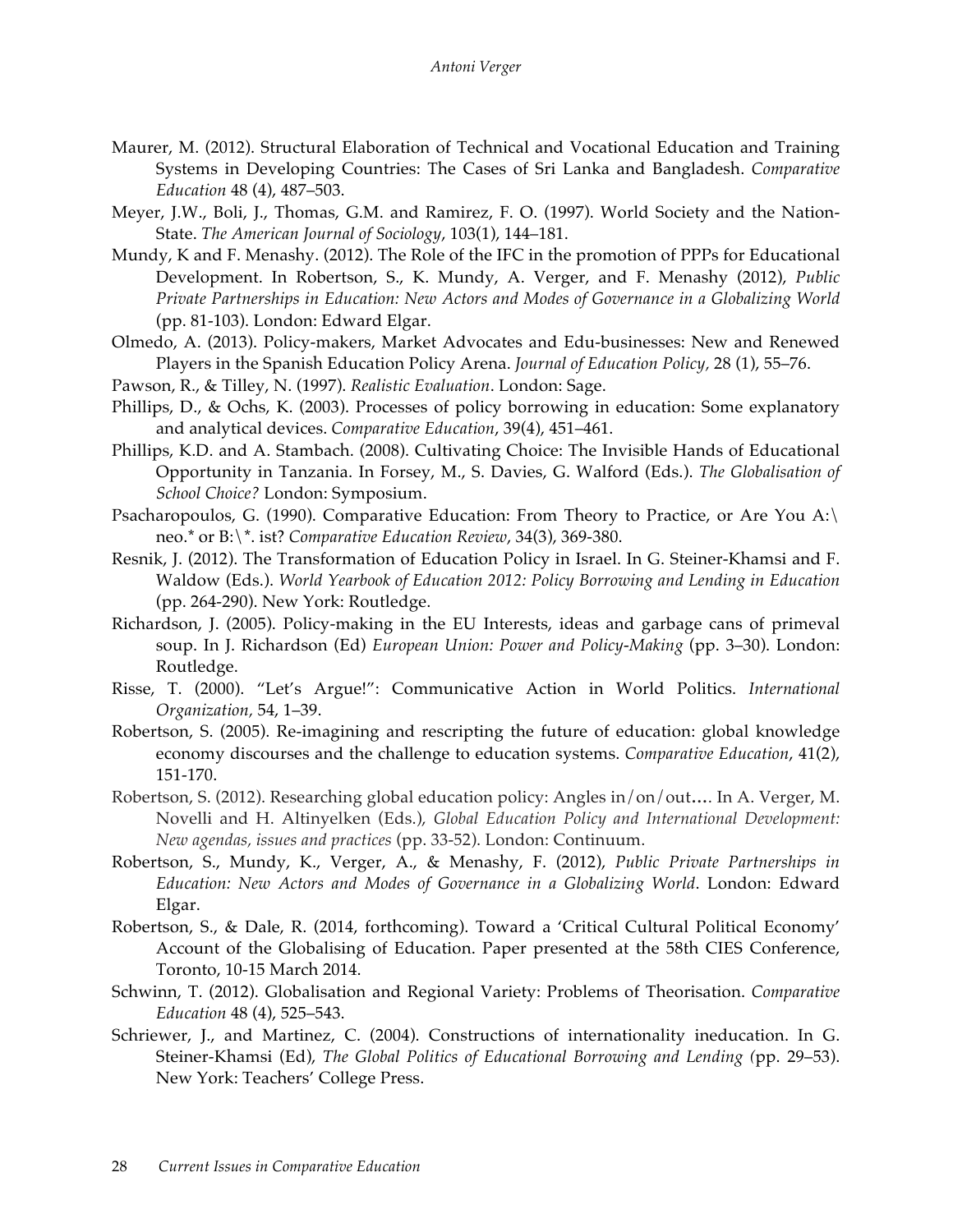- Maurer, M. (2012). Structural Elaboration of Technical and Vocational Education and Training Systems in Developing Countries: The Cases of Sri Lanka and Bangladesh. *Comparative Education* 48 (4), 487–503.
- Meyer, J.W., Boli, J., Thomas, G.M. and Ramirez, F. O. (1997). World Society and the Nation-State. *The American Journal of Sociology*, 103(1), 144–181.
- Mundy, K and F. Menashy. (2012). The Role of the IFC in the promotion of PPPs for Educational Development. In Robertson, S., K. Mundy, A. Verger, and F. Menashy (2012), *Public Private Partnerships in Education: New Actors and Modes of Governance in a Globalizing World* (pp. 81-103). London: Edward Elgar.
- Olmedo, A. (2013). Policy-makers, Market Advocates and Edu-businesses: New and Renewed Players in the Spanish Education Policy Arena. *Journal of Education Policy,* 28 (1), 55–76.
- Pawson, R., & Tilley, N. (1997). *Realistic Evaluation*. London: Sage.
- Phillips, D., & Ochs, K. (2003). Processes of policy borrowing in education: Some explanatory and analytical devices. *Comparative Education*, 39(4), 451–461.
- Phillips, K.D. and A. Stambach. (2008). Cultivating Choice: The Invisible Hands of Educational Opportunity in Tanzania. In Forsey, M., S. Davies, G. Walford (Eds.). *The Globalisation of School Choice?* London: Symposium.
- Psacharopoulos, G. (1990). Comparative Education: From Theory to Practice, or Are You A: neo.\* or B:\\*. ist? *Comparative Education Review*, 34(3), 369-380.
- Resnik, J. (2012). The Transformation of Education Policy in Israel. In G. Steiner-Khamsi and F. Waldow (Eds.). *World Yearbook of Education 2012: Policy Borrowing and Lending in Education* (pp. 264-290). New York: Routledge.
- Richardson, J. (2005). Policy-making in the EU Interests, ideas and garbage cans of primeval soup. In J. Richardson (Ed) *European Union: Power and Policy-Making* (pp. 3–30). London: Routledge.
- Risse, T. (2000). "Let's Argue!": Communicative Action in World Politics. *International Organization,* 54, 1–39.
- Robertson, S. (2005). Re-imagining and rescripting the future of education: global knowledge economy discourses and the challenge to education systems. *Comparative Education*, 41(2), 151-170.
- Robertson, S. (2012). Researching global education policy: Angles in/on/out**…**. In A. Verger, M. Novelli and H. Altinyelken (Eds.), *Global Education Policy and International Development: New agendas, issues and practices* (pp. 33-52). London: Continuum.
- Robertson, S., Mundy, K., Verger, A., & Menashy, F. (2012), *Public Private Partnerships in Education: New Actors and Modes of Governance in a Globalizing World*. London: Edward Elgar.
- Robertson, S., & Dale, R. (2014, forthcoming). Toward a 'Critical Cultural Political Economy' Account of the Globalising of Education. Paper presented at the 58th CIES Conference, Toronto, 10-15 March 2014.
- Schwinn, T. (2012). Globalisation and Regional Variety: Problems of Theorisation. *Comparative Education* 48 (4), 525–543.
- Schriewer, J., and Martinez, C. (2004). Constructions of internationality ineducation. In G. Steiner-Khamsi (Ed), *The Global Politics of Educational Borrowing and Lending (*pp. 29–53). New York: Teachers' College Press.